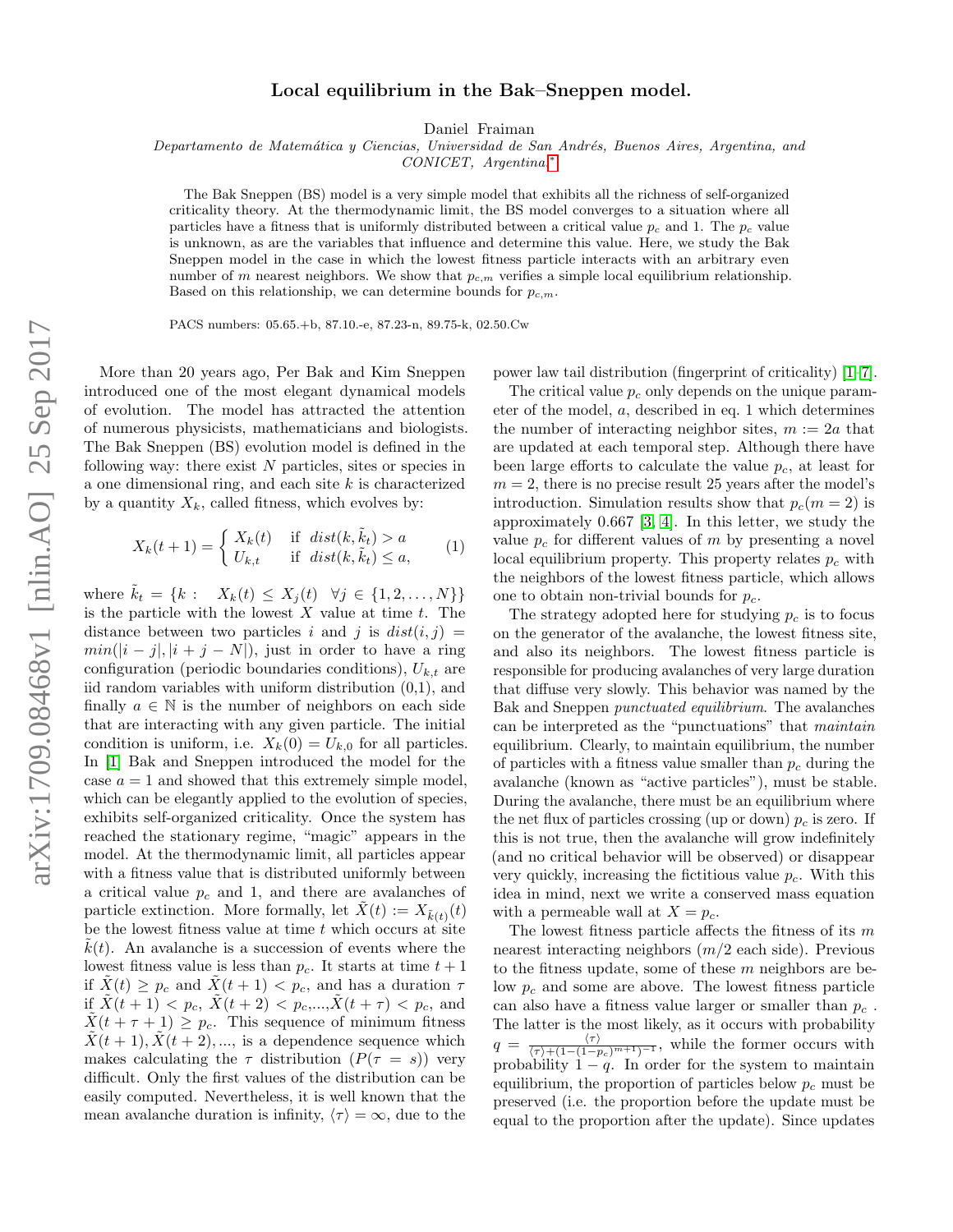## Local equilibrium in the Bak–Sneppen model.

Daniel Fraiman

Departamento de Matemática y Ciencias, Universidad de San Andrés, Buenos Aires, Argentina, and

CONICET, Argentina.[∗](#page-3-0)

The Bak Sneppen (BS) model is a very simple model that exhibits all the richness of self-organized criticality theory. At the thermodynamic limit, the BS model converges to a situation where all particles have a fitness that is uniformly distributed between a critical value  $p_c$  and 1. The  $p_c$  value is unknown, as are the variables that influence and determine this value. Here, we study the Bak Sneppen model in the case in which the lowest fitness particle interacts with an arbitrary even number of m nearest neighbors. We show that  $p_{c,m}$  verifies a simple local equilibrium relationship. Based on this relationship, we can determine bounds for  $p_{c,m}$ .

PACS numbers: 05.65.+b, 87.10.-e, 87.23-n, 89.75-k, 02.50.Cw

More than 20 years ago, Per Bak and Kim Sneppen introduced one of the most elegant dynamical models of evolution. The model has attracted the attention of numerous physicists, mathematicians and biologists. The Bak Sneppen (BS) evolution model is defined in the following way: there exist  $N$  particles, sites or species in a one dimensional ring, and each site  $k$  is characterized by a quantity  $X_k$ , called fitness, which evolves by:

$$
X_k(t+1) = \begin{cases} X_k(t) & \text{if } dist(k, \tilde{k}_t) > a \\ U_{k,t} & \text{if } dist(k, \tilde{k}_t) \le a, \end{cases}
$$
 (1)

where  $k_t = \{k : X_k(t) \le X_j(t) \ \forall j \in \{1, 2, ..., N\}\}\$ is the particle with the lowest  $X$  value at time  $t$ . The distance between two particles i and j is  $dist(i, j)$  =  $min(|i - j|, |i + j - N|)$ , just in order to have a ring configuration (periodic boundaries conditions),  $U_{k,t}$  are iid random variables with uniform distribution (0,1), and finally  $a \in \mathbb{N}$  is the number of neighbors on each side that are interacting with any given particle. The initial condition is uniform, i.e.  $X_k(0) = U_{k,0}$  for all particles. In [\[1\]](#page-3-1) Bak and Sneppen introduced the model for the case  $a = 1$  and showed that this extremely simple model, which can be elegantly applied to the evolution of species, exhibits self-organized criticality. Once the system has reached the stationary regime, "magic" appears in the model. At the thermodynamic limit, all particles appear with a fitness value that is distributed uniformly between a critical value  $p_c$  and 1, and there are avalanches of particle extinction. More formally, let  $\tilde{X}(t) := X_{\tilde{k}(t)}(t)$ be the lowest fitness value at time  $t$  which occurs at site  $k(t)$ . An avalanche is a succession of events where the lowest fitness value is less than  $p_c$ . It starts at time  $t + 1$ if  $X(t) \geq p_c$  and  $X(t+1) < p_c$ , and has a duration  $\tau$ if  $\tilde{X}(t+1) < p_c, \ \tilde{X}(t+2) < p_c, ..., \tilde{X}(t+\tau) < p_c$ , and  $X(t + \tau + 1) \geq p_c$ . This sequence of minimum fitness  $\tilde{X}(t+1), \tilde{X}(t+2), \ldots$ , is a dependence sequence which makes calculating the  $\tau$  distribution  $(P(\tau = s))$  very difficult. Only the first values of the distribution can be easily computed. Nevertheless, it is well known that the mean avalanche duration is infinity,  $\langle \tau \rangle = \infty$ , due to the power law tail distribution (fingerprint of criticality) [\[1–](#page-3-1)[7\]](#page-3-2).

The critical value  $p_c$  only depends on the unique parameter of the model, a, described in eq. 1 which determines the number of interacting neighbor sites,  $m := 2a$  that are updated at each temporal step. Although there have been large efforts to calculate the value  $p_c$ , at least for  $m = 2$ , there is no precise result 25 years after the model's introduction. Simulation results show that  $p_c(m = 2)$  is approximately 0.667 [\[3,](#page-3-3) [4\]](#page-3-4). In this letter, we study the value  $p_c$  for different values of m by presenting a novel local equilibrium property. This property relates  $p_c$  with the neighbors of the lowest fitness particle, which allows one to obtain non-trivial bounds for  $p_c$ .

The strategy adopted here for studying  $p_c$  is to focus on the generator of the avalanche, the lowest fitness site, and also its neighbors. The lowest fitness particle is responsible for producing avalanches of very large duration that diffuse very slowly. This behavior was named by the Bak and Sneppen punctuated equilibrium. The avalanches can be interpreted as the "punctuations" that maintain equilibrium. Clearly, to maintain equilibrium, the number of particles with a fitness value smaller than  $p_c$  during the avalanche (known as "active particles"), must be stable. During the avalanche, there must be an equilibrium where the net flux of particles crossing (up or down)  $p_c$  is zero. If this is not true, then the avalanche will grow indefinitely (and no critical behavior will be observed) or disappear very quickly, increasing the fictitious value  $p_c$ . With this idea in mind, next we write a conserved mass equation with a permeable wall at  $X = p_c$ .

The lowest fitness particle affects the fitness of its  $m$ nearest interacting neighbors  $(m/2 \text{ each side})$ . Previous to the fitness update, some of these m neighbors are below  $p_c$  and some are above. The lowest fitness particle can also have a fitness value larger or smaller than  $p_c$ . The latter is the most likely, as it occurs with probability  $q = \frac{\langle \tau \rangle}{\langle \tau \rangle + (1 - (1 - p_c)^{m+1})^{-1}},$  while the former occurs with probability  $1 - q$ . In order for the system to maintain equilibrium, the proportion of particles below  $p_c$  must be preserved (i.e. the proportion before the update must be equal to the proportion after the update). Since updates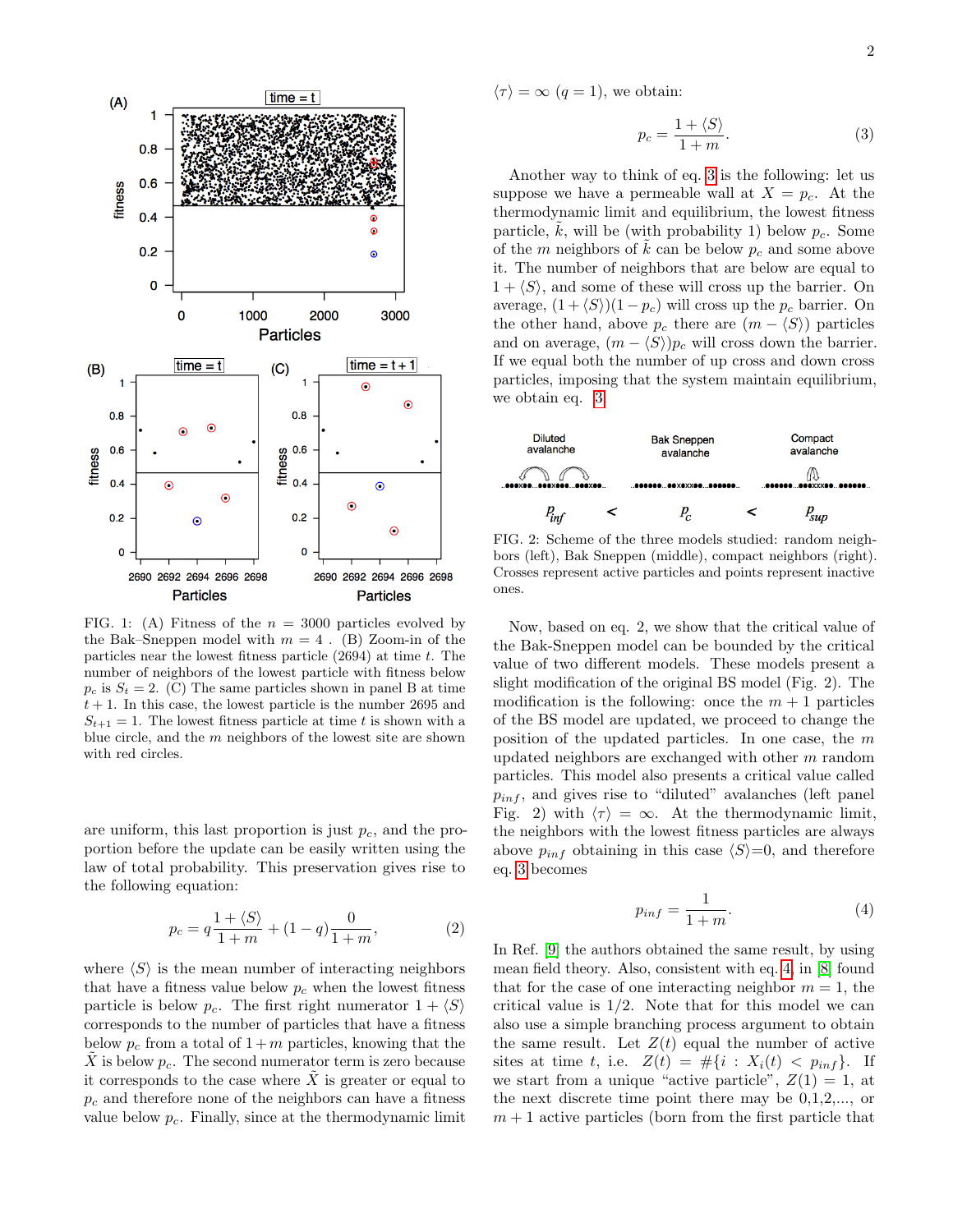

FIG. 1: (A) Fitness of the  $n = 3000$  particles evolved by the Bak–Sneppen model with  $m = 4$ . (B) Zoom-in of the particles near the lowest fitness particle  $(2694)$  at time t. The number of neighbors of the lowest particle with fitness below  $p_c$  is  $S_t = 2$ . (C) The same particles shown in panel B at time  $t + 1$ . In this case, the lowest particle is the number 2695 and  $S_{t+1} = 1$ . The lowest fitness particle at time t is shown with a blue circle, and the  $m$  neighbors of the lowest site are shown with red circles.

are uniform, this last proportion is just  $p_c$ , and the proportion before the update can be easily written using the law of total probability. This preservation gives rise to the following equation:

$$
p_c = q \frac{1 + \langle S \rangle}{1 + m} + (1 - q) \frac{0}{1 + m},
$$
 (2)

where  $\langle S \rangle$  is the mean number of interacting neighbors that have a fitness value below  $p_c$  when the lowest fitness particle is below  $p_c$ . The first right numerator  $1 + \langle S \rangle$ corresponds to the number of particles that have a fitness below  $p_c$  from a total of  $1 + m$  particles, knowing that the  $\tilde{X}$  is below  $p_c$ . The second numerator term is zero because it corresponds to the case where  $\tilde{X}$  is greater or equal to  $p_c$  and therefore none of the neighbors can have a fitness value below  $p_c$ . Finally, since at the thermodynamic limit  $\langle \tau \rangle = \infty$   $(q = 1)$ , we obtain:

<span id="page-1-0"></span>
$$
p_c = \frac{1 + \langle S \rangle}{1 + m}.\tag{3}
$$

Another way to think of eq. [3](#page-1-0) is the following: let us suppose we have a permeable wall at  $X = p_c$ . At the thermodynamic limit and equilibrium, the lowest fitness particle,  $k$ , will be (with probability 1) below  $p_c$ . Some of the m neighbors of k can be below  $p_c$  and some above it. The number of neighbors that are below are equal to  $1 + \langle S \rangle$ , and some of these will cross up the barrier. On average,  $(1 + \langle S \rangle)(1 - p_c)$  will cross up the  $p_c$  barrier. On the other hand, above  $p_c$  there are  $(m - \langle S \rangle)$  particles and on average,  $(m - \langle S \rangle)p_c$  will cross down the barrier. If we equal both the number of up cross and down cross particles, imposing that the system maintain equilibrium, we obtain eq. [3.](#page-1-0)



FIG. 2: Scheme of the three models studied: random neighbors (left), Bak Sneppen (middle), compact neighbors (right). Crosses represent active particles and points represent inactive ones.

Now, based on eq. 2, we show that the critical value of the Bak-Sneppen model can be bounded by the critical value of two different models. These models present a slight modification of the original BS model (Fig. 2). The modification is the following: once the  $m + 1$  particles of the BS model are updated, we proceed to change the position of the updated particles. In one case, the m updated neighbors are exchanged with other m random particles. This model also presents a critical value called  $p_{inf}$ , and gives rise to "diluted" avalanches (left panel Fig. 2) with  $\langle \tau \rangle = \infty$ . At the thermodynamic limit, the neighbors with the lowest fitness particles are always above  $p_{inf}$  obtaining in this case  $\langle S \rangle = 0$ , and therefore eq. [3](#page-1-0) becomes

<span id="page-1-1"></span>
$$
p_{inf} = \frac{1}{1+m}.\tag{4}
$$

In Ref. [\[9\]](#page-3-5) the authors obtained the same result, by using mean field theory. Also, consistent with eq. [4,](#page-1-1) in [\[8\]](#page-3-6) found that for the case of one interacting neighbor  $m = 1$ , the critical value is  $1/2$ . Note that for this model we can also use a simple branching process argument to obtain the same result. Let  $Z(t)$  equal the number of active sites at time t, i.e.  $Z(t) = #\{i : X_i(t) < p_{inf}\}.$  If we start from a unique "active particle",  $Z(1) = 1$ , at the next discrete time point there may be 0,1,2,..., or  $m + 1$  active particles (born from the first particle that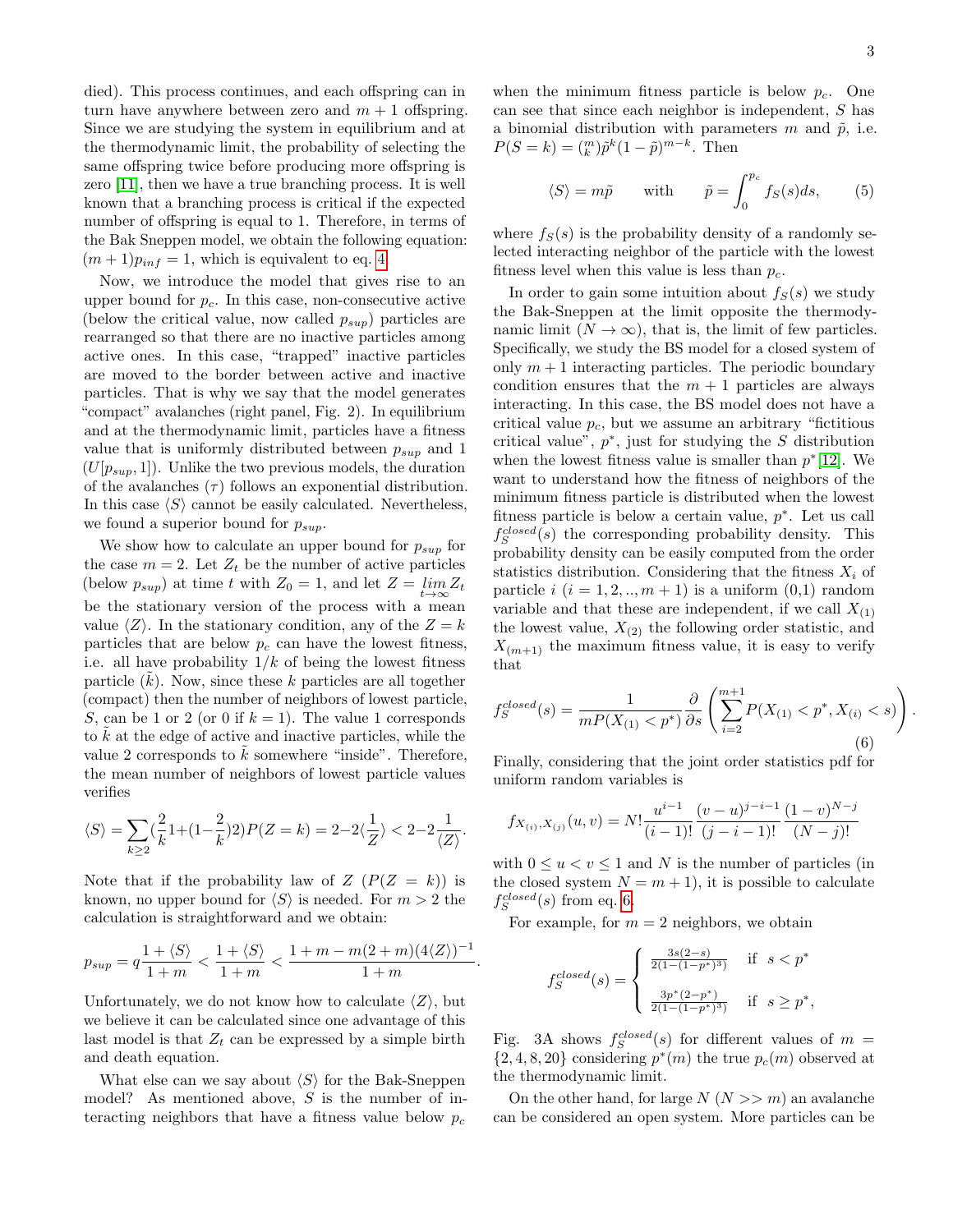3

died). This process continues, and each offspring can in turn have anywhere between zero and  $m + 1$  offspring. Since we are studying the system in equilibrium and at the thermodynamic limit, the probability of selecting the same offspring twice before producing more offspring is zero [\[11\]](#page-4-0), then we have a true branching process. It is well known that a branching process is critical if the expected number of offspring is equal to 1. Therefore, in terms of the Bak Sneppen model, we obtain the following equation:  $(m+1)p_{inf} = 1$ , which is equivalent to eq. [4.](#page-1-1)

Now, we introduce the model that gives rise to an upper bound for  $p_c$ . In this case, non-consecutive active (below the critical value, now called  $p_{sup}$ ) particles are rearranged so that there are no inactive particles among active ones. In this case, "trapped" inactive particles are moved to the border between active and inactive particles. That is why we say that the model generates "compact" avalanches (right panel, Fig. 2). In equilibrium and at the thermodynamic limit, particles have a fitness value that is uniformly distributed between  $p_{sup}$  and 1  $(U[p_{sup}, 1])$ . Unlike the two previous models, the duration of the avalanches  $(\tau)$  follows an exponential distribution. In this case  $\langle S \rangle$  cannot be easily calculated. Nevertheless, we found a superior bound for  $p_{sup}$ .

We show how to calculate an upper bound for  $p_{sup}$  for the case  $m = 2$ . Let  $Z_t$  be the number of active particles (below  $p_{sup}$ ) at time t with  $Z_0 = 1$ , and let  $Z = \lim_{t \to \infty} Z_t$ be the stationary version of the process with a mean value  $\langle Z \rangle$ . In the stationary condition, any of the  $Z = k$ particles that are below  $p_c$  can have the lowest fitness, i.e. all have probability  $1/k$  of being the lowest fitness particle  $(k)$ . Now, since these k particles are all together (compact) then the number of neighbors of lowest particle, S, can be 1 or 2 (or 0 if  $k = 1$ ). The value 1 corresponds to  $\hat{k}$  at the edge of active and inactive particles, while the value 2 corresponds to  $k$  somewhere "inside". Therefore, the mean number of neighbors of lowest particle values verifies

$$
\langle S \rangle = \sum_{k \ge 2} \left( \frac{2}{k} 1 + (1 - \frac{2}{k}) 2 \right) P(Z = k) = 2 - 2 \langle \frac{1}{Z} \rangle < 2 - 2 \frac{1}{\langle Z \rangle}.
$$

Note that if the probability law of  $Z(P(Z = k))$  is known, no upper bound for  $\langle S \rangle$  is needed. For  $m > 2$  the calculation is straightforward and we obtain:

$$
p_{sup} = q \frac{1 + \langle S \rangle}{1 + m} < \frac{1 + \langle S \rangle}{1 + m} < \frac{1 + m - m(2 + m)(4\langle Z \rangle)^{-1}}{1 + m}
$$

Unfortunately, we do not know how to calculate  $\langle Z \rangle$ , but we believe it can be calculated since one advantage of this last model is that  $Z_t$  can be expressed by a simple birth and death equation.

What else can we say about  $\langle S \rangle$  for the Bak-Sneppen model? As mentioned above, S is the number of interacting neighbors that have a fitness value below  $p_c$ 

when the minimum fitness particle is below  $p_c$ . One can see that since each neighbor is independent, S has a binomial distribution with parameters  $m$  and  $\tilde{p}$ , i.e.  $P(S = k) = {m \choose k} \tilde{p}^k (1 - \tilde{p})^{m-k}$ . Then

$$
\langle S \rangle = m\tilde{p}
$$
 with  $\tilde{p} = \int_0^{p_c} f_S(s)ds,$  (5)

where  $f_S(s)$  is the probability density of a randomly selected interacting neighbor of the particle with the lowest fitness level when this value is less than  $p_c$ .

In order to gain some intuition about  $f_S(s)$  we study the Bak-Sneppen at the limit opposite the thermodynamic limit  $(N \to \infty)$ , that is, the limit of few particles. Specifically, we study the BS model for a closed system of only  $m + 1$  interacting particles. The periodic boundary condition ensures that the  $m + 1$  particles are always interacting. In this case, the BS model does not have a critical value  $p_c$ , but we assume an arbitrary "fictitious" critical value",  $p^*$ , just for studying the S distribution when the lowest fitness value is smaller than  $p^*[12]$  $p^*[12]$ . We want to understand how the fitness of neighbors of the minimum fitness particle is distributed when the lowest fitness particle is below a certain value,  $p^*$ . Let us call  $f_S^{closed}(s)$  the corresponding probability density. This probability density can be easily computed from the order statistics distribution. Considering that the fitness  $X_i$  of particle  $i$   $(i = 1, 2, ..., m + 1)$  is a uniform  $(0,1)$  random variable and that these are independent, if we call  $X_{(1)}$ the lowest value,  $X_{(2)}$  the following order statistic, and  $X_{(m+1)}$  the maximum fitness value, it is easy to verify that

<span id="page-2-0"></span>
$$
f_S^{closed}(s) = \frac{1}{mP(X_{(1)} < p^*)} \frac{\partial}{\partial s} \left( \sum_{i=2}^{m+1} P(X_{(1)} < p^*, X_{(i)} < s) \right). \tag{6}
$$

Finally, considering that the joint order statistics pdf for uniform random variables is

$$
f_{X_{(i)},X_{(j)}}(u,v) = N! \frac{u^{i-1}}{(i-1)!} \frac{(v-u)^{j-i-1}}{(j-i-1)!} \frac{(1-v)^{N-j}}{(N-j)!}
$$

with  $0 \le u < v \le 1$  and N is the number of particles (in the closed system  $N = m + 1$ , it is possible to calculate  $f_S^{closed}(s)$  from eq. [6.](#page-2-0)

For example, for  $m = 2$  neighbors, we obtain

.

$$
f_S^{closed}(s) = \begin{cases} \frac{3s(2-s)}{2(1-(1-p^*)^3)} & \text{if } s < p^* \\ \frac{3p^*(2-p^*)}{2(1-(1-p^*)^3)} & \text{if } s \ge p^*, \end{cases}
$$

Fig. 3A shows  $f_S^{closed}(s)$  for different values of  $m =$  $\{2, 4, 8, 20\}$  considering  $p^*(m)$  the true  $p_c(m)$  observed at the thermodynamic limit.

On the other hand, for large  $N(N \gg m)$  an avalanche can be considered an open system. More particles can be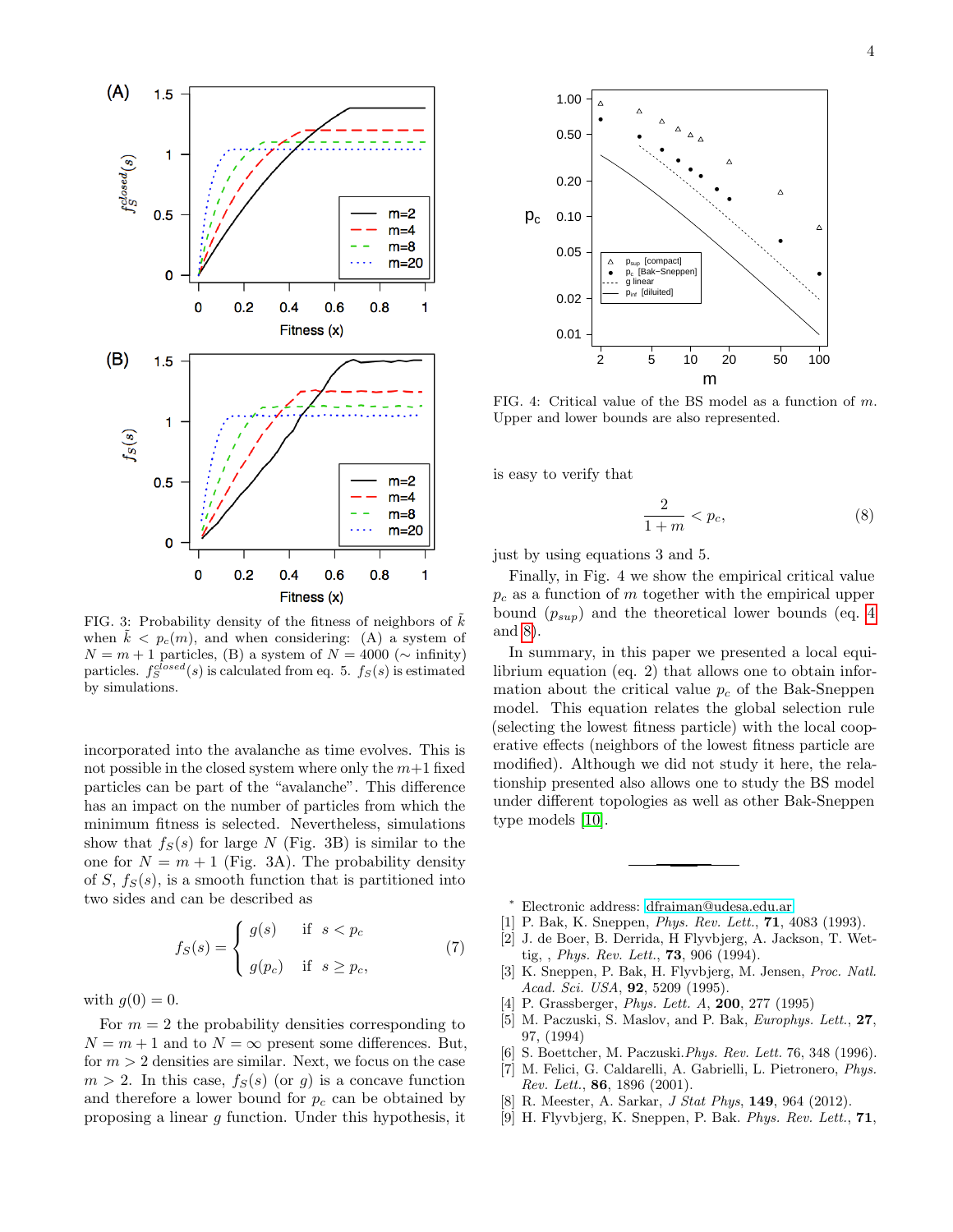

FIG. 3: Probability density of the fitness of neighbors of  $\overline{k}$ when  $k < p_c(m)$ , and when considering: (A) a system of  $N = m + 1$  particles, (B) a system of  $N = 4000$  ( $\sim$  infinity) particles.  $f_S^{closed}(s)$  is calculated from eq. 5.  $f_S(s)$  is estimated by simulations.

incorporated into the avalanche as time evolves. This is not possible in the closed system where only the  $m+1$  fixed particles can be part of the "avalanche". This difference has an impact on the number of particles from which the minimum fitness is selected. Nevertheless, simulations show that  $f_S(s)$  for large N (Fig. 3B) is similar to the one for  $N = m + 1$  (Fig. 3A). The probability density of  $S, f_S(s)$ , is a smooth function that is partitioned into two sides and can be described as

$$
f_S(s) = \begin{cases} g(s) & \text{if } s < p_c \\ g(p_c) & \text{if } s \ge p_c, \end{cases}
$$
 (7)

with  $g(0) = 0$ .

For  $m = 2$  the probability densities corresponding to  $N = m + 1$  and to  $N = \infty$  present some differences. But, for  $m > 2$  densities are similar. Next, we focus on the case  $m > 2$ . In this case,  $f_S(s)$  (or g) is a concave function and therefore a lower bound for  $p_c$  can be obtained by proposing a linear g function. Under this hypothesis, it



FIG. 4: Critical value of the BS model as a function of m. Upper and lower bounds are also represented.

is easy to verify that

<span id="page-3-7"></span>
$$
\frac{2}{1+m} < p_c,\tag{8}
$$

just by using equations 3 and 5.

Finally, in Fig. 4 we show the empirical critical value  $p_c$  as a function of m together with the empirical upper bound  $(p_{sup})$  and the theoretical lower bounds (eq. [4](#page-1-1)) and [8\)](#page-3-7).

In summary, in this paper we presented a local equilibrium equation (eq. 2) that allows one to obtain information about the critical value  $p_c$  of the Bak-Sneppen model. This equation relates the global selection rule (selecting the lowest fitness particle) with the local cooperative effects (neighbors of the lowest fitness particle are modified). Although we did not study it here, the relationship presented also allows one to study the BS model under different topologies as well as other Bak-Sneppen type models [\[10\]](#page-4-2).

- <span id="page-3-0"></span><sup>∗</sup> Electronic address: [dfraiman@udesa.edu.ar](mailto:dfraiman@udesa.edu.ar)
- <span id="page-3-1"></span>[1] P. Bak, K. Sneppen, *Phys. Rev. Lett.*, **71**, 4083 (1993).
- [2] J. de Boer, B. Derrida, H Flyvbjerg, A. Jackson, T. Wettig, , *Phys. Rev. Lett.*, **73**, 906 (1994).
- <span id="page-3-3"></span>[3] K. Sneppen, P. Bak, H. Flyvbjerg, M. Jensen, Proc. Natl. Acad. Sci. USA, **92**, 5209 (1995).
- <span id="page-3-4"></span>[4] P. Grassberger, *Phys. Lett. A*, **200**, 277 (1995)
- [5] M. Paczuski, S. Maslov, and P. Bak, *Europhys. Lett.*, **27**, 97, (1994)
- [6] S. Boettcher, M. Paczuski. Phys. Rev. Lett. 76, 348 (1996).
- <span id="page-3-2"></span>[7] M. Felici, G. Caldarelli, A. Gabrielli, L. Pietronero, Phys. Rev. Lett., 86, 1896 (2001).
- <span id="page-3-6"></span>[8] R. Meester, A. Sarkar, *J Stat Phys*, **149**, 964 (2012).
- <span id="page-3-5"></span>[9] H. Flyvbjerg, K. Sneppen, P. Bak. Phys. Rev. Lett., 71,